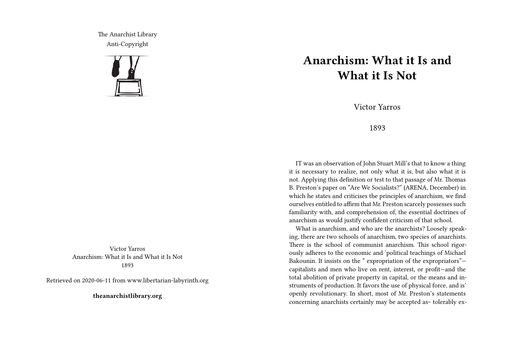The Anarchist Library Anti-Copyright



Victor Yarros Anarchism: What it Is and What it Is Not 1893

Retrieved on 2020-06-11 from www.libertarian-labyrinth.org

**theanarchistlibrary.org**

## **Anarchism: What it Is and What it Is Not**

Victor Yarros

## 1893

IT was an observation of John Stuart Mill's that to know a thing it is necessary to realize, not only what it is, but also what it is not. Applying this definition or test to that passage of Mr. Thomas B. Preston's paper on "Are We Socialists?" (ARENA, December) in which he states and criticises the principles of anarchism, we find ourselves entitled to affirm that Mr. Preston scarcely possesses such familiarity with, and comprehension of, the essential doctrines of anarchism as would justify confident criticism of that school.

What is anarchism, and who are the anarchists? Loosely speaking, there are two schools of anarchism, two species of anarchists. There is the school of communist anarchism. This school rigorously adheres to the economic and 'political teachings of Michael Bakounin. It insists on the " expropriation of the expropriators" capitalists and men who live on rent, interest, or profit—and the total abolition of private property in capital, or the means and instruments of production. It favors the use of physical force, and is' openly revolutionary. In short, most of Mr. Preston's statements concerning anarchists certainly may be accepted as~ tolerably ex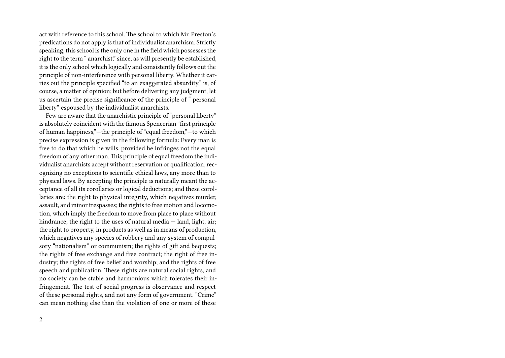act with reference to this school. The school to which Mr. Preston's predications do not apply is that of individualist anarchism. Strictly speaking, this school is the only one in the field which possesses the right to the term " anarchist," since, as will presently be established, it is the only school which logically and consistently follows out the principle of non-interference with personal liberty. Whether it carries out the principle specified "to an exaggerated absurdity," is, of course, a matter of opinion; but before delivering any judgment, let us ascertain the precise significance of the principle of " personal liberty" espoused by the individualist anarchists.

Few are aware that the anarchistic principle of "personal liberty" is absolutely coincident with the famous Spencerian "first principle of human happiness,"—the principle of "equal freedom,"—to which precise expression is given in the following formula: Every man is free to do that which he wills, provided he infringes not the equal freedom of any other man. This principle of equal freedom the individualist anarchists accept without reservation or qualification, recognizing no exceptions to scientific ethical laws, any more than to physical laws. By accepting the principle is naturally meant the acceptance of all its corollaries or logical deductions; and these corollaries are: the right to physical integrity, which negatives murder, assault, and minor trespasses; the rights to free motion and locomotion, which imply the freedom to move from place to place without hindrance; the right to the uses of natural media - land, light, air; the right to property, in products as well as in means of production, which negatives any species of robbery and any system of compulsory "nationalism" or communism; the rights of gift and bequests; the rights of free exchange and free contract; the right of free industry; the rights of free belief and worship; and the rights of free speech and publication. These rights are natural social rights, and no society can be stable and harmonious which tolerates their infringement. The test of social progress is observance and respect of these personal rights, and not any form of government. "Crime" can mean nothing else than the violation of one or more of these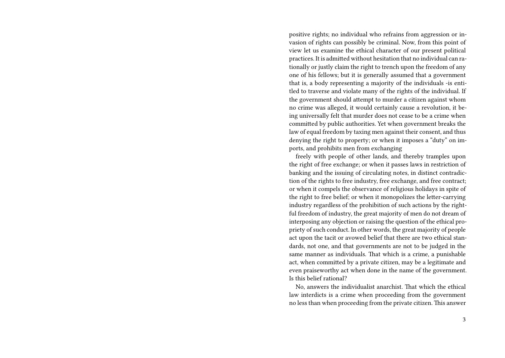positive rights; no individual who refrains from aggression or invasion of rights can possibly be criminal. Now, from this point of view let us examine the ethical character of our present political practices. It is admitted without hesitation that no individual can rationally or justly claim the right to trench upon the freedom of any one of his fellows; but it is generally assumed that a government that is, a body representing a majority of the individuals -is entitled to traverse and violate many of the rights of the individual. If the government should attempt to murder a citizen against whom no crime was alleged, it would certainly cause a revolution, it being universally felt that murder does not cease to be a crime when committed by public authorities. Yet when government breaks the law of equal freedom by taxing men against their consent, and thus denying the right to property; or when it imposes a "duty" on imports, and prohibits men from exchanging

freely with people of other lands, and thereby tramples upon the right of free exchange; or when it passes laws in restriction of banking and the issuing of circulating notes, in distinct contradiction of the rights to free industry, free exchange, and free contract; or when it compels the observance of religious holidays in spite of the right to free belief; or when it monopolizes the letter-carrying industry regardless of the prohibition of such actions by the rightful freedom of industry, the great majority of men do not dream of interposing any objection or raising the question of the ethical propriety of such conduct. In other words, the great majority of people act upon the tacit or avowed belief that there are two ethical standards, not one, and that governments are not to be judged in the same manner as individuals. That which is a crime, a punishable act, when committed by a private citizen, may be a legitimate and even praiseworthy act when done in the name of the government. Is this belief rational?

No, answers the individualist anarchist. That which the ethical law interdicts is a crime when proceeding from the government no less than when proceeding from the private citizen. This answer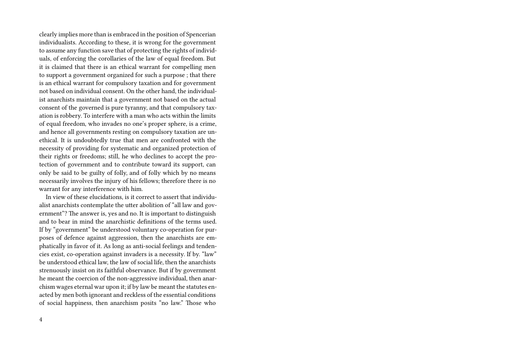clearly implies more than is embraced in the position of Spencerian individualists. According to these, it is wrong for the government to assume any function save that of protecting the rights of individuals, of enforcing the corollaries of the law of equal freedom. But it is claimed that there is an ethical warrant for compelling men to support a government organized for such a purpose ; that there is an ethical warrant for compulsory taxation and for government not based on individual consent. On the other hand, the individualist anarchists maintain that a government not based on the actual consent of the governed is pure tyranny, and that compulsory taxation is robbery. To interfere with a man who acts within the limits of equal freedom, who invades no one's proper sphere, is a crime, and hence all governments resting on compulsory taxation are unethical. It is undoubtedly true that men are confronted with the necessity of providing for systematic and organized protection of their rights or freedoms; still, he who declines to accept the protection of government and to contribute toward its support, can only be said to be guilty of folly, and of folly which by no means necessarily involves the injury of his fellows; therefore there is no warrant for any interference with him.

In view of these elucidations, is it correct to assert that individualist anarchists contemplate the utter abolition of "all law and government"? The answer is, yes and no. It is important to distinguish and to bear in mind the anarchistic definitions of the terms used. If by "government" be understood voluntary co-operation for purposes of defence against aggression, then the anarchists are emphatically in favor of it. As long as anti-social feelings and tendencies exist, co-operation against invaders is a necessity. If by. "law" be understood ethical law, the law of social life, then the anarchists strenuously insist on its faithful observance. But if by government he meant the coercion of the non-aggressive individual, then anarchism wages eternal war upon it; if by law be meant the statutes enacted by men both ignorant and reckless of the essential conditions of social happiness, then anarchism posits "no law." Those who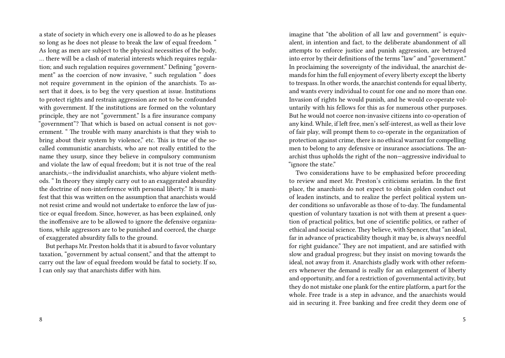a state of society in which every one is allowed to do as he pleases so long as he does not please to break the law of equal freedom. " As long as men are subject to the physical necessities of the body, … there will be a clash of material interests which requires regulation; and such regulation requires government." Defining "government" as the coercion of now invasive, " such regulation " does not require government in the opinion of the anarchists. To assert that it does, is to beg the very question at issue. Institutions to protect rights and restrain aggression are not to be confounded with government. If the institutions are formed on the voluntary principle, they are not "government." Is a fire insurance company "government"? That which is based on actual consent is not government. " The trouble with many anarchists is that they wish to bring about their system by violence," etc. This is true of the socalled communistic anarchists, who are not really entitled to the name they usurp, since they believe in compulsory communism and violate the law of equal freedom; but it is not true of the real anarchists,—the individualist anarchists, who abjure violent methods. " In theory they simply carry out to an exaggerated absurdity the doctrine of non-interference with personal liberty." It is manifest that this was written on the assumption that anarchists would not resist crime and would not undertake to enforce the law of justice or equal freedom. Since, however, as has been explained, only the inoffensive are to be allowed to ignore the defensive organizations, while aggressors are to be punished and coerced, the charge of exaggerated absurdity falls to the ground.

But perhaps Mr. Preston holds that it is absurd to favor voluntary taxation, "government by actual consent," and that the attempt to carry out the law of equal freedom would be fatal to society. If so, I can only say that anarchists differ with him.

imagine that "the abolition of all law and government" is equivalent, in intention and fact, to the deliberate abandonment of all attempts to enforce justice and punish aggression, are betrayed into error by their definitions of the terms "law" and "government." In proclaiming the sovereignty of the individual, the anarchist demands for him the full enjoyment of every liberty except the liberty to trespass. In other words, the anarchist contends for equal liberty, and wants every individual to count for one and no more than one. Invasion of rights he would punish, and he would co-operate voluntarily with his fellows for this as for numerous other purposes. But he would not coerce non-invasive citizens into co-operation of any kind. While, if left free, men's self-interest, as well as their love of fair play, will prompt them to co-operate in the organization of protection against crime, there is no ethical warrant for compelling men to belong to any defensive or insurance associations. The anarchist thus upholds the right of the non—aggressive individual to "ignore the state."

Two considerations have to be emphasized before proceeding to review and meet Mr. Preston's criticisms seriatim. In the first place, the anarchists do not expect to obtain golden conduct out of leaden instincts, and to realize the perfect political system under conditions so unfavorable as those of to-day. The fundamental question of voluntary taxation is not with them at present a question of practical politics, but one of scientific politics, or rather of ethical and social science. They believe, with Spencer, that "an ideal, far in advance of practicability though it may be, is always needful for right guidance." They are not impatient, and are satisfied with slow and gradual progress; but they insist on moving towards the ideal, not away from it. Anarchists gladly work with other reformers whenever the demand is really for an enlargement of liberty and opportunity, and for a restriction of governmental activity, but they do not mistake one plank for the entire platform, a part for the whole. Free trade is a step in advance, and the anarchists would aid in securing it. Free banking and free credit they deem one of